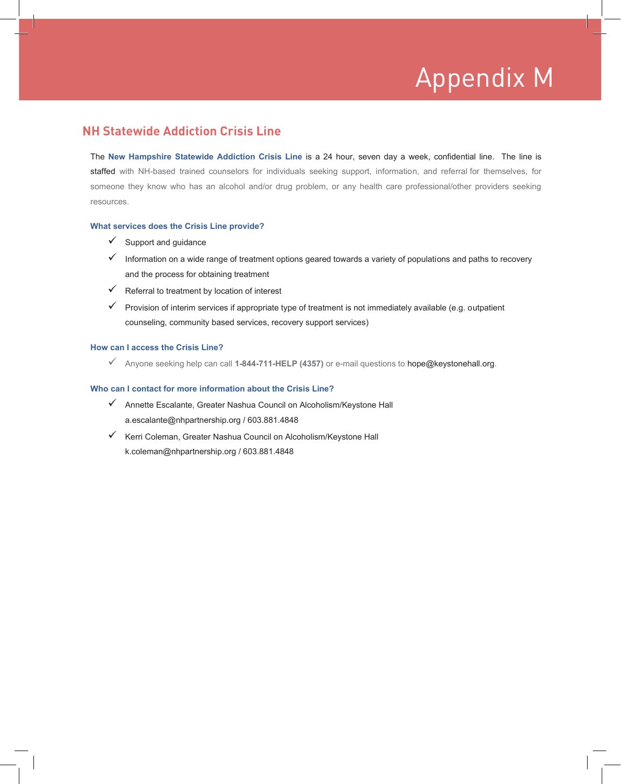# Appendix M Appendix M

### **NH Statewide Addiction Crisis Line**

The **New Hampshire Statewide Addiction Crisis Line** is a 24 hour, seven day a week, confidential line. The line is staffed with NH-based trained counselors for individuals seeking support, information, and referral for themselves, for someone they know who has an alcohol and/or drug problem, or any health care professional/other providers seeking resources.

#### **What services does the Crisis Line provide?**

- $\checkmark$  Support and quidance
- $\checkmark$  Information on a wide range of treatment options geared towards a variety of populations and paths to recovery and the process for obtaining treatment
- $\checkmark$  Referral to treatment by location of interest
- $\checkmark$  Provision of interim services if appropriate type of treatment is not immediately available (e.g. outpatient counseling, community based services, recovery support services)

#### **How can I access the Crisis Line?**

Anyone seeking help can call **1-844-711-HELP (4357)** or e-mail questions to hope@keystonehall.org.

#### **Who can I contact for more information about the Crisis Line?**

- Annette Escalante, Greater Nashua Council on Alcoholism/Keystone Hall a.escalante@nhpartnership.org / 603.881.4848
- $\checkmark$  Kerri Coleman, Greater Nashua Council on Alcoholism/Keystone Hall k.coleman@nhpartnership.org / 603.881.4848